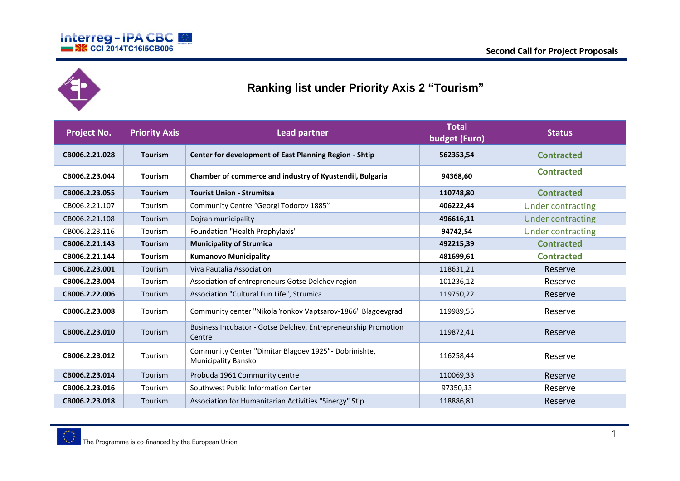



## **Ranking list under Priority Axis 2 "Tourism"**

| Project No.    | <b>Priority Axis</b> | <b>Lead partner</b>                                                           | <b>Total</b><br>budget (Euro) | <b>Status</b>            |
|----------------|----------------------|-------------------------------------------------------------------------------|-------------------------------|--------------------------|
| CB006.2.21.028 | <b>Tourism</b>       | <b>Center for development of East Planning Region - Shtip</b>                 | 562353,54                     | <b>Contracted</b>        |
| CB006.2.23.044 | <b>Tourism</b>       | Chamber of commerce and industry of Kyustendil, Bulgaria                      | 94368,60                      | <b>Contracted</b>        |
| CB006.2.23.055 | <b>Tourism</b>       | <b>Tourist Union - Strumitsa</b>                                              | 110748,80                     | <b>Contracted</b>        |
| CB006.2.21.107 | Tourism              | Community Centre "Georgi Todorov 1885"                                        | 406222,44                     | <b>Under contracting</b> |
| CB006.2.21.108 | Tourism              | Dojran municipality                                                           | 496616,11                     | <b>Under contracting</b> |
| CB006.2.23.116 | Tourism              | Foundation "Health Prophylaxis"                                               | 94742,54                      | <b>Under contracting</b> |
| CB006.2.21.143 | <b>Tourism</b>       | <b>Municipality of Strumica</b>                                               | 492215,39                     | <b>Contracted</b>        |
| CB006.2.21.144 | <b>Tourism</b>       | <b>Kumanovo Municipality</b>                                                  | 481699,61                     | <b>Contracted</b>        |
| CB006.2.23.001 | Tourism              | Viva Pautalia Association                                                     | 118631,21                     | Reserve                  |
| CB006.2.23.004 | Tourism              | Association of entrepreneurs Gotse Delchev region                             | 101236,12                     | Reserve                  |
| CB006.2.22.006 | Tourism              | Association "Cultural Fun Life", Strumica                                     | 119750,22                     | Reserve                  |
| CB006.2.23.008 | Tourism              | Community center "Nikola Yonkov Vaptsarov-1866" Blagoevgrad                   | 119989,55                     | Reserve                  |
| CB006.2.23.010 | Tourism              | Business Incubator - Gotse Delchev, Entrepreneurship Promotion<br>Centre      | 119872,41                     | Reserve                  |
| CB006.2.23.012 | Tourism              | Community Center "Dimitar Blagoev 1925" - Dobrinishte,<br>Municipality Bansko | 116258,44                     | Reserve                  |
| CB006.2.23.014 | Tourism              | Probuda 1961 Community centre                                                 | 110069,33                     | Reserve                  |
| CB006.2.23.016 | Tourism              | Southwest Public Information Center                                           | 97350,33                      | Reserve                  |
| CB006.2.23.018 | Tourism              | Association for Humanitarian Activities "Sinergy" Stip                        | 118886,81                     | Reserve                  |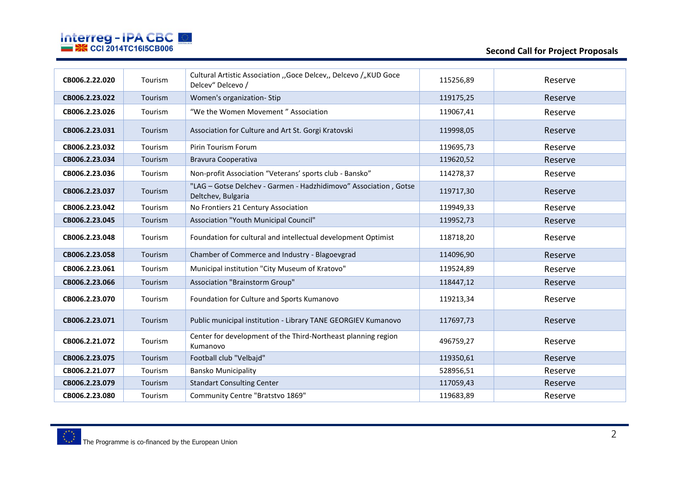

| CB006.2.22.020 | Tourism | Cultural Artistic Association "Goce Delcev" Delcevo / "KUD Goce<br>Delcev" Delcevo /   | 115256,89 | Reserve |
|----------------|---------|----------------------------------------------------------------------------------------|-----------|---------|
| CB006.2.23.022 | Tourism | Women's organization-Stip                                                              | 119175,25 | Reserve |
| CB006.2.23.026 | Tourism | "We the Women Movement" Association                                                    | 119067,41 | Reserve |
| CB006.2.23.031 | Tourism | Association for Culture and Art St. Gorgi Kratovski                                    | 119998,05 | Reserve |
| CB006.2.23.032 | Tourism | <b>Pirin Tourism Forum</b>                                                             | 119695,73 | Reserve |
| CB006.2.23.034 | Tourism | Bravura Cooperativa                                                                    | 119620,52 | Reserve |
| CB006.2.23.036 | Tourism | Non-profit Association "Veterans' sports club - Bansko"                                | 114278,37 | Reserve |
| CB006.2.23.037 | Tourism | "LAG - Gotse Delchev - Garmen - Hadzhidimovo" Association, Gotse<br>Deltchev, Bulgaria | 119717,30 | Reserve |
| CB006.2.23.042 | Tourism | No Frontiers 21 Century Association                                                    | 119949,33 | Reserve |
| CB006.2.23.045 | Tourism | Association "Youth Municipal Council"                                                  | 119952,73 | Reserve |
| CB006.2.23.048 | Tourism | Foundation for cultural and intellectual development Optimist                          | 118718,20 | Reserve |
| CB006.2.23.058 | Tourism | Chamber of Commerce and Industry - Blagoevgrad                                         | 114096,90 | Reserve |
| CB006.2.23.061 | Tourism | Municipal institution "City Museum of Kratovo"                                         | 119524,89 | Reserve |
| CB006.2.23.066 | Tourism | Association "Brainstorm Group"                                                         | 118447,12 | Reserve |
| CB006.2.23.070 | Tourism | Foundation for Culture and Sports Kumanovo                                             | 119213,34 | Reserve |
| CB006.2.23.071 | Tourism | Public municipal institution - Library TANE GEORGIEV Kumanovo                          | 117697,73 | Reserve |
| CB006.2.21.072 | Tourism | Center for development of the Third-Northeast planning region<br>Kumanovo              | 496759,27 | Reserve |
| CB006.2.23.075 | Tourism | Football club "Velbajd"                                                                | 119350,61 | Reserve |
| CB006.2.21.077 | Tourism | <b>Bansko Municipality</b>                                                             | 528956,51 | Reserve |
| CB006.2.23.079 | Tourism | <b>Standart Consulting Center</b>                                                      | 117059,43 | Reserve |
| CB006.2.23.080 | Tourism | Community Centre "Bratstvo 1869"                                                       | 119683,89 | Reserve |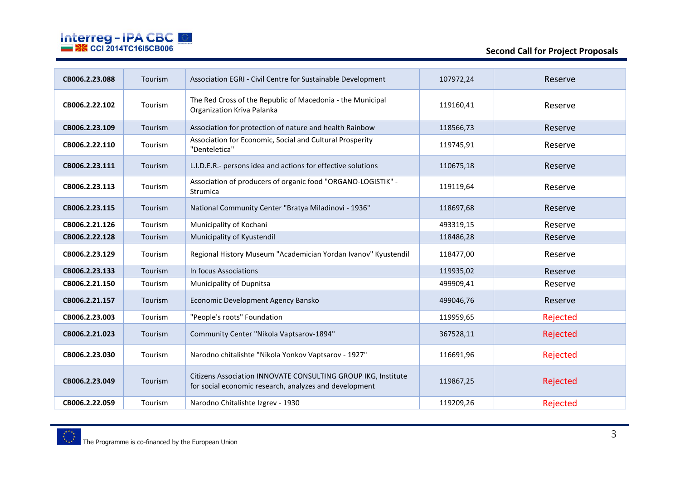

| CB006.2.23.088 | Tourism | Association EGRI - Civil Centre for Sustainable Development                                                             | 107972,24 | Reserve  |
|----------------|---------|-------------------------------------------------------------------------------------------------------------------------|-----------|----------|
| CB006.2.22.102 | Tourism | The Red Cross of the Republic of Macedonia - the Municipal<br>Organization Kriva Palanka                                | 119160,41 | Reserve  |
| CB006.2.23.109 | Tourism | Association for protection of nature and health Rainbow                                                                 | 118566,73 | Reserve  |
| CB006.2.22.110 | Tourism | Association for Economic, Social and Cultural Prosperity<br>"Denteletica"                                               | 119745,91 | Reserve  |
| CB006.2.23.111 | Tourism | L.I.D.E.R.- persons idea and actions for effective solutions                                                            | 110675,18 | Reserve  |
| CB006.2.23.113 | Tourism | Association of producers of organic food "ORGANO-LOGISTIK" -<br>Strumica                                                | 119119,64 | Reserve  |
| CB006.2.23.115 | Tourism | National Community Center "Bratya Miladinovi - 1936"                                                                    | 118697,68 | Reserve  |
| CB006.2.21.126 | Tourism | Municipality of Kochani                                                                                                 | 493319,15 | Reserve  |
| CB006.2.22.128 | Tourism | Municipality of Kyustendil                                                                                              | 118486,28 | Reserve  |
| CB006.2.23.129 | Tourism | Regional History Museum "Academician Yordan Ivanov" Kyustendil                                                          | 118477,00 | Reserve  |
| CB006.2.23.133 | Tourism | In focus Associations                                                                                                   | 119935,02 | Reserve  |
| CB006.2.21.150 | Tourism | Municipality of Dupnitsa                                                                                                | 499909,41 | Reserve  |
| CB006.2.21.157 | Tourism | Economic Development Agency Bansko                                                                                      | 499046,76 | Reserve  |
| CB006.2.23.003 | Tourism | "People's roots" Foundation                                                                                             | 119959,65 | Rejected |
| CB006.2.21.023 | Tourism | Community Center "Nikola Vaptsarov-1894"                                                                                | 367528,11 | Rejected |
| CB006.2.23.030 | Tourism | Narodno chitalishte "Nikola Yonkov Vaptsarov - 1927"                                                                    | 116691,96 | Rejected |
| CB006.2.23.049 | Tourism | Citizens Association INNOVATE CONSULTING GROUP IKG, Institute<br>for social economic research, analyzes and development | 119867,25 | Rejected |
| CB006.2.22.059 | Tourism | Narodno Chitalishte Izgrev - 1930                                                                                       | 119209,26 | Rejected |